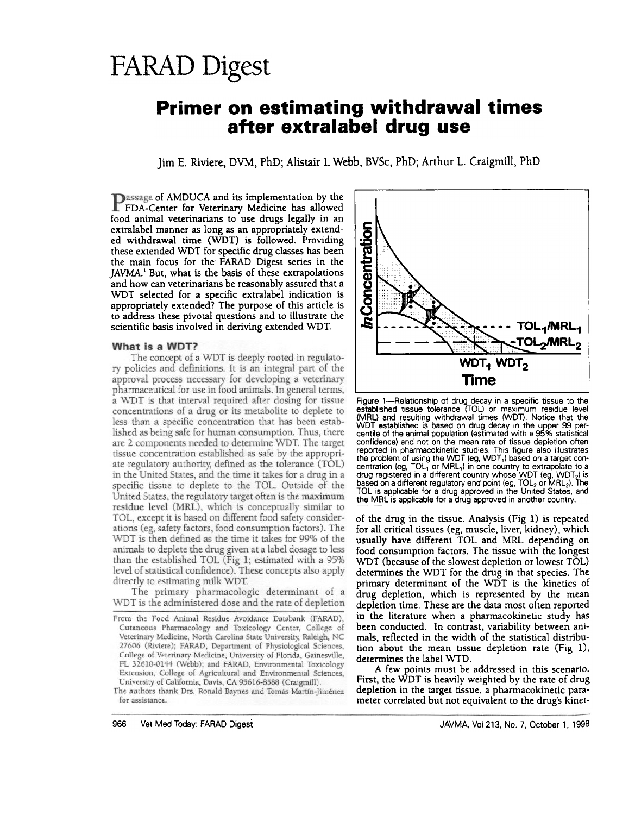# **FARAD Digest**

## **Primer on estimating withdrawal times** after extralabel drug use

Jim E. Riviere, DVM, PhD; Alistair I. Webb, BVSc, PhD; Arthur L. Craigmill, PhD

**Passage of AMDUCA and its implementation by the FDA-Center for Veterinary Medicine has allowed** food animal veterinarians to use drugs legally in an extralabel manner as long as an appropriately extended withdrawal time (WDT) is followed. Providing these extended WDT for specific drug classes has been the main focus for the FARAD Digest series in the JAVMA.<sup>1</sup> But, what is the basis of these extrapolations and how can veterinarians be reasonably assured that a WDT selected for a specific extralabel indication is appropriately extended? The purpose of this article is to address these pivotal questions and to illustrate the scientific basis involved in deriving extended WDT.

#### What is a WDT?

The concept of a WDT is deeply rooted in regulatory policies and definitions. It is an integral part of the approval process necessary for developing a veterinary pharmaceutical for use in food animals. In general terms, a WDT is that interval required after dosing for tissue concentrations of a drug or its metabolite to deplete to less than a specific concentration that has been established as being safe for human consumption. Thus, there are 2 components needed to determine WDT. The target tissue concentration established as safe by the appropriate regulatory authority, defined as the tolerance (TOL) in the United States, and the time it takes for a drug in a specific tissue to deplete to the TOL. Outside of the United States, the regulatory target often is the maximum residue level (MRL), which is conceptually similar to TOL, except it is based on different food safety considerations (eg, safety factors, food consumption factors). The WDT is then defined as the time it takes for 99% of the animals to deplete the drug given at a label dosage to less<br>than the established TOL (Fig 1; estimated with a 95% level of statistical confidence). These concepts also apply directly to estimating milk WDT.

The primary pharmacologic determinant of a WDT is the administered dose and the rate of depletion

The authors thank Drs. Ronald Baynes and Tomás Martín-Jiménez for assistance.



Figure 1-Relationship of drug decay in a specific tissue to the established tissue tolerance (TOL) or maximum residue level (MRL) and resulting withdrawal times (WDT). Notice that the WDT established is based on drug decay in the upper 99 percentile of the animal population (estimated with a 95% statistical confidence) and not on the mean rate of tissue depletion often<br>reported in pharmacokinetic studies. This figure also illustrates<br>the problem of using the WDT (eg, WDT<sub>1</sub>) based on a target concentration (eg,  $TOL_1$  or  $MRL_1$ ) in one country to extrapolate to a drug registered in a different country whose WDT (eg, WDT<sub>2</sub>) is<br>based on a different regulatory end point (eg, TOL<sub>2</sub> or MRL<sub>2</sub>). The TOL is applicable for a drug approved in the United States, and the MRL is applicable for a drug approved in another country.

of the drug in the tissue. Analysis  $(Fig 1)$  is repeated for all critical tissues (eg, muscle, liver, kidney), which usually have different TOL and MRL depending on food consumption factors. The tissue with the longest WDT (because of the slowest depletion or lowest TOL) determines the WDT for the drug in that species. The primary determinant of the WDT is the kinetics of drug depletion, which is represented by the mean depletion time. These are the data most often reported in the literature when a pharmacokinetic study has been conducted. In contrast, variability between animals, reflected in the width of the statistical distribution about the mean tissue depletion rate (Fig 1), determines the label WTD.

A few points must be addressed in this scenario. First, the WDT is heavily weighted by the rate of drug depletion in the target tissue, a pharmacokinetic parameter correlated but not equivalent to the drug's kinet-

From the Food Animal Residue Avoidance Databank (FARAD), Cutaneous Pharmacology and Toxicology Center, College of Veterinary Medicine, North Carolina State University, Raleigh, NC 27606 (Riviere); FARAD, Department of Physiological Sciences, College of Veterinary Medicine, University of Florida, Gainesville, FL 32610-0144 (Webb); and FARAD, Environmental Toxicology Extension, College of Agricultural and Environmental Sciences, University of California, Davis, CA 95616-8588 (Craigmill).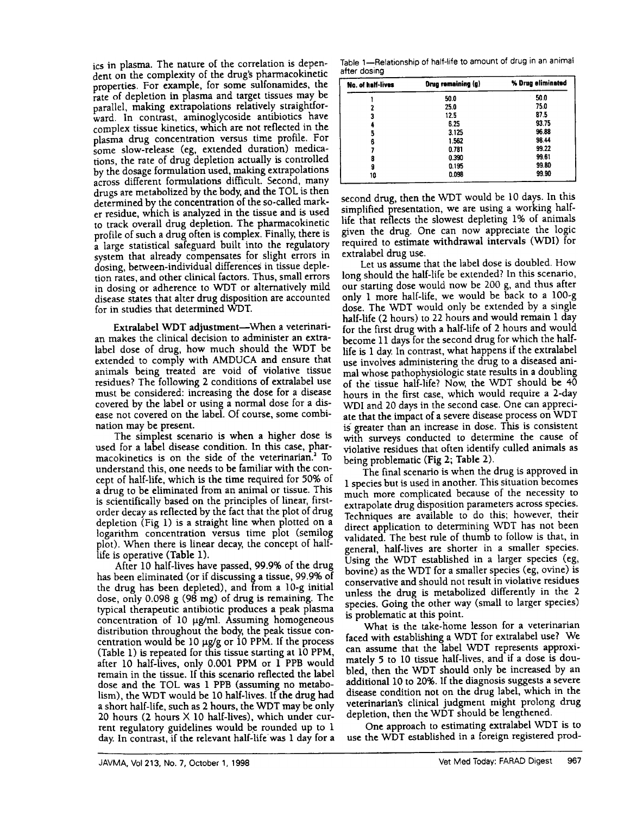ics in plasma. The nature of the correlation is dependent on the complexity of the drug's pharmacokinetic properties. For example, for some sulfonamides, the rate of depletion in plasma and target tissues may be parallel, making extrapolations relatively straightforward. In contrast, aminoglycoside antibiotics have complex tissue kinetics, which are not reflected in the plasma drug concentration versus time profile. For some slow-release (eg, extended duration) medications, the rate of drug depletion actually is controlled by the dosage formulation used, making extrapolations across different formulations difficult. Second, many drugs are metabolized by the body, and the TOl is then determined by the concentration of the so-called marker residue, which is analyzed in the tissue and is used to track overall drug depletion. The pharmacokinetic profile of such a drug often is complex. Finally, there is a large statistical safeguard built into the regulatory system that already compensates for slight errors in dosing, between-individual differences in tissue depletion rates, and other clinical factors. Thus, small errors in dosing or adherence to WDT or alternatively mild disease states that alter drug disposition are accounted for in studies that determined WDT.

Extralabel WDT adjustment-When a veterinarian makes the clinical decision to administer an extralabel dose of drug, how much should the WDT be extended to comply with AMDUCA and ensure that animals being treated are void of violative tissue residues? The following 2 conditions of extralabel use must be considered: increasing the dose for a disease covered by the label or using a normal dose for a disease not covered on the label. Of course, some combination may be present.

The simplest scenario is when a higher dose is used for a label disease condition. In this case, pharmacokinetics is on the side of the veterinarian.<sup>2</sup> To understand this, one needs to be familiar with the concept of half-life, which is the time required for 50% of a drug to be eliminated from an animal or tissue. This is scientifically based on the principles of linear, firstorder decay as reflected by the fact that the plot of drug depletion (Fig 1) is a straight line when plotted on a logarithm concenttation versus time plot (semilog plot). When there is linear decay; the concept of halflife is operative (Table 1).

dose and the TOL was 1 PPB (assuming no metabo- additional 10 to 20%. If the diagnosis suggests a severe lism), the WDT would be 10 half-lives. If the drug had disease condition not on the drug label, which in the a short half-life, such as 2 hours, the WDT may be only veterinarian's clinical judgment might prolong drug a short half-life, such as  $2$  hours, the WDT may be only 20 hours (2 hours X 10 half-lives), which under cur-<br>20 hours (2 hours X 10 half-lives), which under current regulatory guidelines would be rounded up to  $1$  One approach to estimating extralabel WDT is to day. In contrast, if the relevant half-life was 1 day for a use the WDT established in a foreign registered prod-After 10 half-lives have passed, 99.9% of the drug has been eliminated (or if discussing a tissue, 99.9% of the drug has been depleted), and from a 10-g initial dose, only 0.098 g (98 mg) of drug is remaining. The typical therapeutic antibiotic produces a peak plasma concentration of  $10 \mu g/ml$ . Assuming homogeneous distribution throughout the body; the peak tissue concentration would be 10  $\mu$ g/g or 10 PPM. If the process (Table 1) is repeated for this tissue starting at 10 PPM, after 10 half-lives, only 0.001 PPM or 1 PPB would remain in the tissue. If this scenario reflected the label

Table 1-Relationship of half-life to amount of drug in an animal after dosing

| No. of half-lives | <b>Drug remaining (g)</b> | % Drug eliminated |
|-------------------|---------------------------|-------------------|
|                   | 50.0                      | 50.0              |
| 7                 | 25.0                      | 75.0              |
| 3                 | 12.5                      | 87.5              |
|                   | 6.25                      | 93.75             |
| 5                 | 3.125                     | 96.88             |
| 6                 | 1.562                     | 98.44             |
|                   | 0.781                     | 99.22             |
|                   | 0.390                     | 99.61             |
| 9                 | 0.195                     | 99.80             |
| 10                | 0.098                     | 99.90             |

second drug, then the WDT would be 10 days. In this simplified presentation, we are using a working halflife that reflects the slowest depleting 1% of animals given the drug. One can now appreciate the logic required to estimate withdrawal intervals (WDI) for extralabel drug use.

Let us assume that the label dose is doubled. How long should the half-life be extended? In this scenario, our starting dose would now be 200 g, and thus after only 1 more half-life, we would be back to a 100-g dose. The WDT would only be extended by a single half-life (2 hours) to 22 hours and would remain 1 day for the first drug with a half-life of 2 hours and would become 11 days for the second drug for which the halflife is 1 day. In contrast, what happens if the extralabel use involves administering the drug to a diseased animal whose pathophysiologic state results in a doubling of the tissue half-life? Now, the WDT should be  $40$ hours in the first case, which would require a 2-day WDI and 20 days in the second case. One can appreciate that the impact of a severe disease process on WDT is greater than an increase in dose. This is consistent with surveys conducted to determine the cause of violative residues that often identify culled animals as being problematic (Fig 2; Table 2).

The final scenario is when the drug is approved in 1 species but is used in another. This situation becomes much more complicated because of the necessity to extrapolate drug disposition parameters across species. Techniques are available to do this; however, their direct application to determining WDT has not been validated. The best rule of thumb to follow is that, in general, half-lives are shorter in a smaller species. Using the WDT established in a larger species (eg, bovine) as the WDT for a smaller species (eg, ovine) is conservative and should not result in violative residues unless the drug is metabolized differently in the 2 species. Going the other way (small to larger species) is problematic at this point.

What is the take-home lesson for a veterinarian faced with establishing a WDT for extralabel use? We can assume that the label WDT represents approximately 5 to 10 tissue half-lives, and if a dose is doubled, then the WDT should only be increased by an